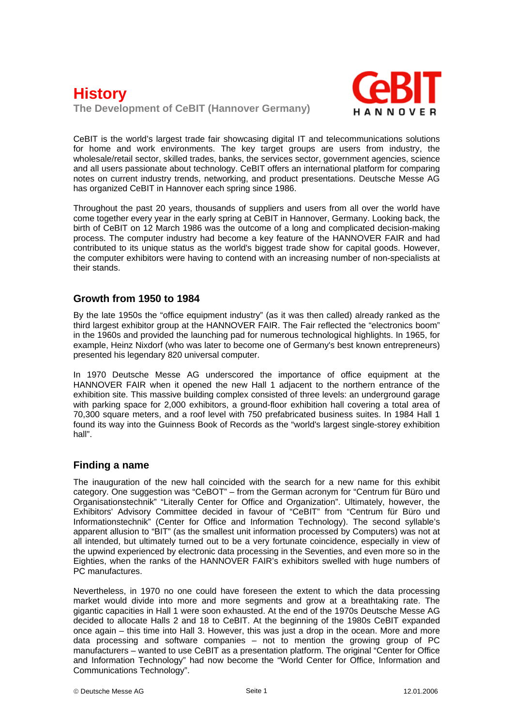# **History The Development of CeBIT (Hannover Germany)**



CeBIT is the world's largest trade fair showcasing digital IT and telecommunications solutions for home and work environments. The key target groups are users from industry, the wholesale/retail sector, skilled trades, banks, the services sector, government agencies, science and all users passionate about technology. CeBIT offers an international platform for comparing notes on current industry trends, networking, and product presentations. Deutsche Messe AG has organized CeBIT in Hannover each spring since 1986.

Throughout the past 20 years, thousands of suppliers and users from all over the world have come together every year in the early spring at CeBIT in Hannover, Germany. Looking back, the birth of CeBIT on 12 March 1986 was the outcome of a long and complicated decision-making process. The computer industry had become a key feature of the HANNOVER FAIR and had contributed to its unique status as the world's biggest trade show for capital goods. However, the computer exhibitors were having to contend with an increasing number of non-specialists at their stands.

#### **Growth from 1950 to 1984**

By the late 1950s the "office equipment industry" (as it was then called) already ranked as the third largest exhibitor group at the HANNOVER FAIR. The Fair reflected the "electronics boom" in the 1960s and provided the launching pad for numerous technological highlights. In 1965, for example, Heinz Nixdorf (who was later to become one of Germany's best known entrepreneurs) presented his legendary 820 universal computer.

In 1970 Deutsche Messe AG underscored the importance of office equipment at the HANNOVER FAIR when it opened the new Hall 1 adjacent to the northern entrance of the exhibition site. This massive building complex consisted of three levels: an underground garage with parking space for 2,000 exhibitors, a ground-floor exhibition hall covering a total area of 70,300 square meters, and a roof level with 750 prefabricated business suites. In 1984 Hall 1 found its way into the Guinness Book of Records as the "world's largest single-storey exhibition hall".

#### **Finding a name**

The inauguration of the new hall coincided with the search for a new name for this exhibit category. One suggestion was "CeBOT" – from the German acronym for "Centrum für Büro und Organisationstechnik" "Literally Center for Office and Organization". Ultimately, however, the Exhibitors' Advisory Committee decided in favour of "CeBIT" from "Centrum für Büro und Informationstechnik" (Center for Office and Information Technology). The second syllable's apparent allusion to "BIT" (as the smallest unit information processed by Computers) was not at all intended, but ultimately turned out to be a very fortunate coincidence, especially in view of the upwind experienced by electronic data processing in the Seventies, and even more so in the Eighties, when the ranks of the HANNOVER FAIR's exhibitors swelled with huge numbers of PC manufactures.

Nevertheless, in 1970 no one could have foreseen the extent to which the data processing market would divide into more and more segments and grow at a breathtaking rate. The gigantic capacities in Hall 1 were soon exhausted. At the end of the 1970s Deutsche Messe AG decided to allocate Halls 2 and 18 to CeBIT. At the beginning of the 1980s CeBIT expanded once again – this time into Hall 3. However, this was just a drop in the ocean. More and more data processing and software companies – not to mention the growing group of PC manufacturers – wanted to use CeBIT as a presentation platform. The original "Center for Office and Information Technology" had now become the "World Center for Office, Information and Communications Technology".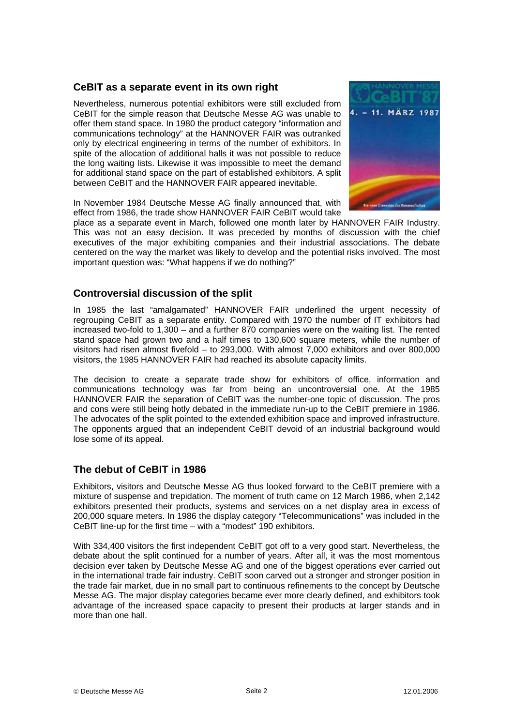## **CeBIT as a separate event in its own right**

Nevertheless, numerous potential exhibitors were still excluded from CeBIT for the simple reason that Deutsche Messe AG was unable to offer them stand space. In 1980 the product category "information and communications technology" at the HANNOVER FAIR was outranked only by electrical engineering in terms of the number of exhibitors. In spite of the allocation of additional halls it was not possible to reduce the long waiting lists. Likewise it was impossible to meet the demand for additional stand space on the part of established exhibitors. A split between CeBIT and the HANNOVER FAIR appeared inevitable.



In November 1984 Deutsche Messe AG finally announced that, with effect from 1986, the trade show HANNOVER FAIR CeBIT would take

place as a separate event in March, followed one month later by HANNOVER FAIR Industry. This was not an easy decision. It was preceded by months of discussion with the chief executives of the major exhibiting companies and their industrial associations. The debate centered on the way the market was likely to develop and the potential risks involved. The most important question was: "What happens if we do nothing?"

#### **Controversial discussion of the split**

In 1985 the last "amalgamated" HANNOVER FAIR underlined the urgent necessity of regrouping CeBIT as a separate entity. Compared with 1970 the number of IT exhibitors had increased two-fold to 1,300 – and a further 870 companies were on the waiting list. The rented stand space had grown two and a half times to 130,600 square meters, while the number of visitors had risen almost fivefold – to 293,000. With almost 7,000 exhibitors and over 800,000 visitors, the 1985 HANNOVER FAIR had reached its absolute capacity limits.

The decision to create a separate trade show for exhibitors of office, information and communications technology was far from being an uncontroversial one. At the 1985 HANNOVER FAIR the separation of CeBIT was the number-one topic of discussion. The pros and cons were still being hotly debated in the immediate run-up to the CeBIT premiere in 1986. The advocates of the split pointed to the extended exhibition space and improved infrastructure. The opponents argued that an independent CeBIT devoid of an industrial background would lose some of its appeal.

## **The debut of CeBIT in 1986**

Exhibitors, visitors and Deutsche Messe AG thus looked forward to the CeBIT premiere with a mixture of suspense and trepidation. The moment of truth came on 12 March 1986, when 2,142 exhibitors presented their products, systems and services on a net display area in excess of 200,000 square meters. In 1986 the display category "Telecommunications" was included in the CeBIT line-up for the first time – with a "modest" 190 exhibitors.

With 334,400 visitors the first independent CeBIT got off to a very good start. Nevertheless, the debate about the split continued for a number of years. After all, it was the most momentous decision ever taken by Deutsche Messe AG and one of the biggest operations ever carried out in the international trade fair industry. CeBIT soon carved out a stronger and stronger position in the trade fair market, due in no small part to continuous refinements to the concept by Deutsche Messe AG. The major display categories became ever more clearly defined, and exhibitors took advantage of the increased space capacity to present their products at larger stands and in more than one hall.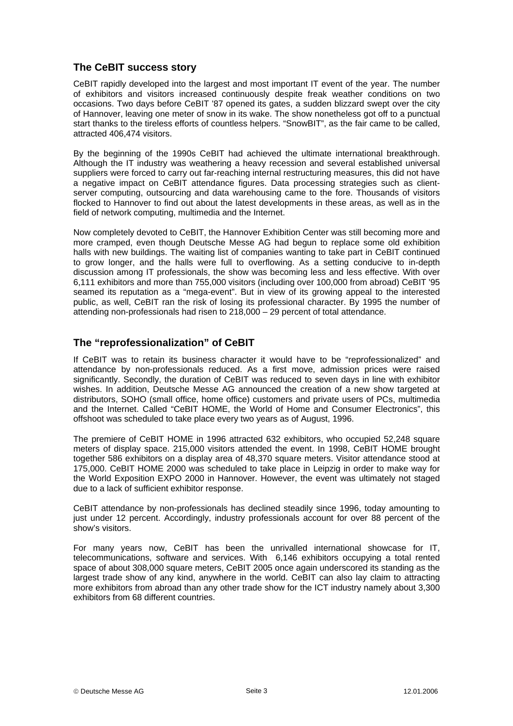### **The CeBIT success story**

CeBIT rapidly developed into the largest and most important IT event of the year. The number of exhibitors and visitors increased continuously despite freak weather conditions on two occasions. Two days before CeBIT '87 opened its gates, a sudden blizzard swept over the city of Hannover, leaving one meter of snow in its wake. The show nonetheless got off to a punctual start thanks to the tireless efforts of countless helpers. "SnowBIT", as the fair came to be called, attracted 406,474 visitors.

By the beginning of the 1990s CeBIT had achieved the ultimate international breakthrough. Although the IT industry was weathering a heavy recession and several established universal suppliers were forced to carry out far-reaching internal restructuring measures, this did not have a negative impact on CeBIT attendance figures. Data processing strategies such as clientserver computing, outsourcing and data warehousing came to the fore. Thousands of visitors flocked to Hannover to find out about the latest developments in these areas, as well as in the field of network computing, multimedia and the Internet.

Now completely devoted to CeBIT, the Hannover Exhibition Center was still becoming more and more cramped, even though Deutsche Messe AG had begun to replace some old exhibition halls with new buildings. The waiting list of companies wanting to take part in CeBIT continued to grow longer, and the halls were full to overflowing. As a setting conducive to in-depth discussion among IT professionals, the show was becoming less and less effective. With over 6,111 exhibitors and more than 755,000 visitors (including over 100,000 from abroad) CeBIT '95 seamed its reputation as a "mega-event". But in view of its growing appeal to the interested public, as well, CeBIT ran the risk of losing its professional character. By 1995 the number of attending non-professionals had risen to 218,000 – 29 percent of total attendance.

## **The "reprofessionalization" of CeBIT**

If CeBIT was to retain its business character it would have to be "reprofessionalized" and attendance by non-professionals reduced. As a first move, admission prices were raised significantly. Secondly, the duration of CeBIT was reduced to seven days in line with exhibitor wishes. In addition, Deutsche Messe AG announced the creation of a new show targeted at distributors, SOHO (small office, home office) customers and private users of PCs, multimedia and the Internet. Called "CeBIT HOME, the World of Home and Consumer Electronics", this offshoot was scheduled to take place every two years as of August, 1996.

The premiere of CeBIT HOME in 1996 attracted 632 exhibitors, who occupied 52,248 square meters of display space. 215,000 visitors attended the event. In 1998, CeBIT HOME brought together 586 exhibitors on a display area of 48,370 square meters. Visitor attendance stood at 175,000. CeBIT HOME 2000 was scheduled to take place in Leipzig in order to make way for the World Exposition EXPO 2000 in Hannover. However, the event was ultimately not staged due to a lack of sufficient exhibitor response.

CeBIT attendance by non-professionals has declined steadily since 1996, today amounting to just under 12 percent. Accordingly, industry professionals account for over 88 percent of the show's visitors.

For many years now, CeBIT has been the unrivalled international showcase for IT, telecommunications, software and services. With 6,146 exhibitors occupying a total rented space of about 308,000 square meters, CeBIT 2005 once again underscored its standing as the largest trade show of any kind, anywhere in the world. CeBIT can also lay claim to attracting more exhibitors from abroad than any other trade show for the ICT industry namely about 3,300 exhibitors from 68 different countries.